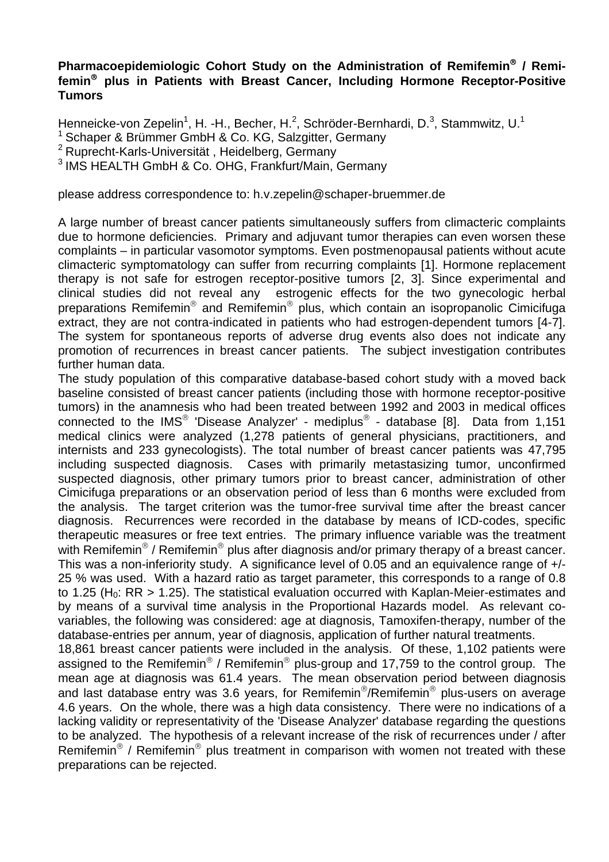## **Pharmacoepidemiologic Cohort Study on the Administration of Remifemin**® **/ Remifemin**® **plus in Patients with Breast Cancer, Including Hormone Receptor-Positive Tumors**

Henneicke-von Zepelin<sup>1</sup>, H. -H., Becher, H.<sup>2</sup>, Schröder-Bernhardi, D.<sup>3</sup>, Stammwitz, U.<sup>1</sup>

1 Schaper & Brümmer GmbH & Co. KG, Salzgitter, Germany

2 Ruprecht-Karls-Universität , Heidelberg, Germany

3 IMS HEALTH GmbH & Co. OHG, Frankfurt/Main, Germany

please address correspondence to: h.v.zepelin@schaper-bruemmer.de

A large number of breast cancer patients simultaneously suffers from climacteric complaints due to hormone deficiencies. Primary and adjuvant tumor therapies can even worsen these complaints – in particular vasomotor symptoms. Even postmenopausal patients without acute climacteric symptomatology can suffer from recurring complaints [1]. Hormone replacement therapy is not safe for estrogen receptor-positive tumors [2, 3]. Since experimental and clinical studies did not reveal any estrogenic effects for the two gynecologic herbal preparations Remifemin® and Remifemin® plus, which contain an isopropanolic Cimicifuga extract, they are not contra-indicated in patients who had estrogen-dependent tumors [4-7]. The system for spontaneous reports of adverse drug events also does not indicate any promotion of recurrences in breast cancer patients. The subject investigation contributes further human data.

The study population of this comparative database-based cohort study with a moved back baseline consisted of breast cancer patients (including those with hormone receptor-positive tumors) in the anamnesis who had been treated between 1992 and 2003 in medical offices connected to the IMS<sup>®</sup> 'Disease Analyzer' - mediplus<sup>®</sup> - database [8]. Data from 1,151 medical clinics were analyzed (1,278 patients of general physicians, practitioners, and internists and 233 gynecologists). The total number of breast cancer patients was 47,795 including suspected diagnosis. Cases with primarily metastasizing tumor, unconfirmed suspected diagnosis, other primary tumors prior to breast cancer, administration of other Cimicifuga preparations or an observation period of less than 6 months were excluded from the analysis. The target criterion was the tumor-free survival time after the breast cancer diagnosis. Recurrences were recorded in the database by means of ICD-codes, specific therapeutic measures or free text entries. The primary influence variable was the treatment with Remifemin<sup>®</sup> / Remifemin<sup>®</sup> plus after diagnosis and/or primary therapy of a breast cancer. This was a non-inferiority study. A significance level of 0.05 and an equivalence range of +/- 25 % was used. With a hazard ratio as target parameter, this corresponds to a range of 0.8 to 1.25 (H<sub>0</sub>: RR  $>$  1.25). The statistical evaluation occurred with Kaplan-Meier-estimates and by means of a survival time analysis in the Proportional Hazards model. As relevant covariables, the following was considered: age at diagnosis, Tamoxifen-therapy, number of the database-entries per annum, year of diagnosis, application of further natural treatments.

18,861 breast cancer patients were included in the analysis. Of these, 1,102 patients were assigned to the Remifemin® / Remifemin® plus-group and 17,759 to the control group. The mean age at diagnosis was 61.4 years. The mean observation period between diagnosis and last database entry was 3.6 years, for Remifemin<sup>®</sup>/Remifemin<sup>®</sup> plus-users on average 4.6 years. On the whole, there was a high data consistency. There were no indications of a lacking validity or representativity of the 'Disease Analyzer' database regarding the questions to be analyzed. The hypothesis of a relevant increase of the risk of recurrences under / after Remifemin<sup>®</sup> / Remifemin<sup>®</sup> plus treatment in comparison with women not treated with these preparations can be rejected.